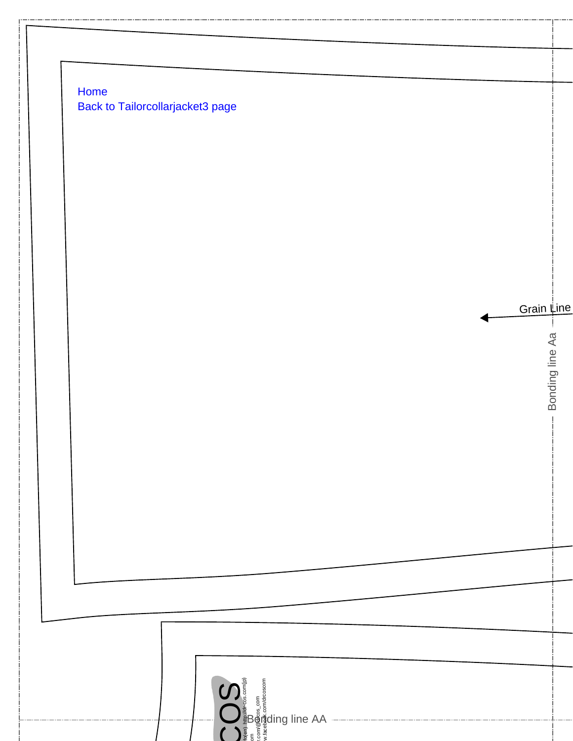| Home | <b>Back to Tailorcollarjacket3 page</b> |  |  |            |
|------|-----------------------------------------|--|--|------------|
|      |                                         |  |  |            |
|      |                                         |  |  |            |
|      |                                         |  |  |            |
|      |                                         |  |  |            |
|      |                                         |  |  |            |
|      |                                         |  |  |            |
|      |                                         |  |  | Grain Line |
|      |                                         |  |  |            |
|      |                                         |  |  |            |
|      |                                         |  |  |            |
|      |                                         |  |  |            |
|      |                                         |  |  |            |
|      |                                         |  |  |            |
|      |                                         |  |  |            |
|      |                                         |  |  |            |
|      |                                         |  |  |            |
|      |                                         |  |  |            |
|      |                                         |  |  |            |
|      |                                         |  |  |            |
|      |                                         |  |  |            |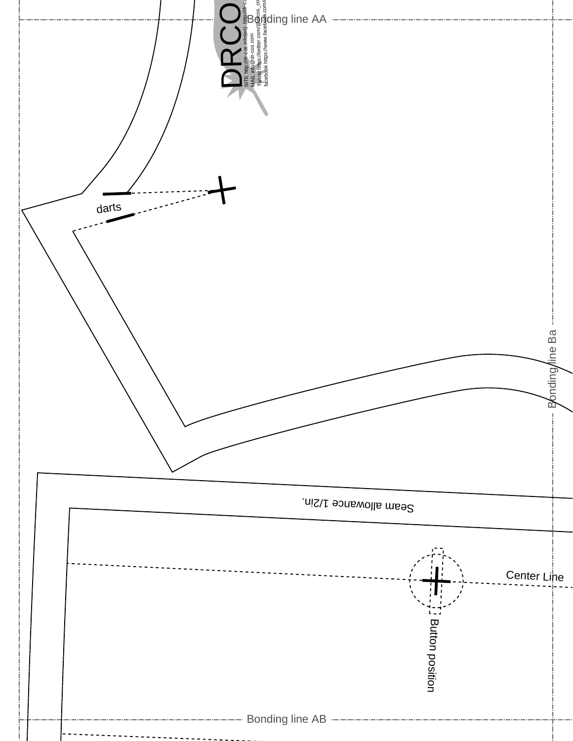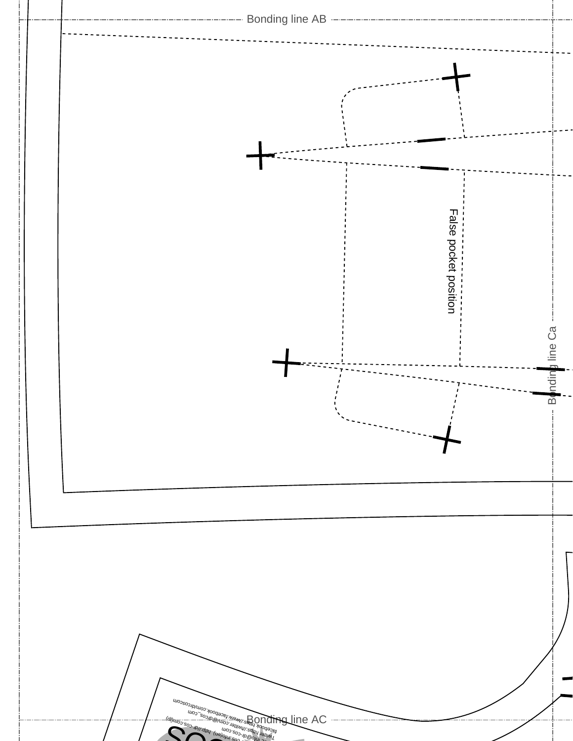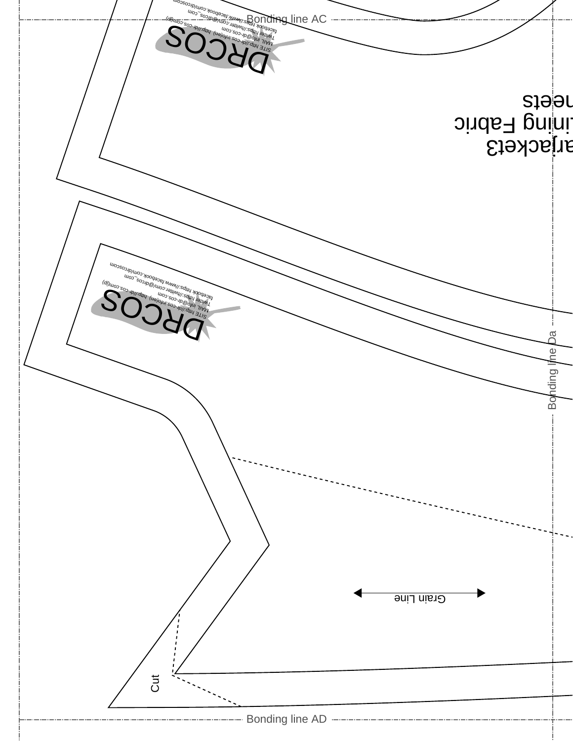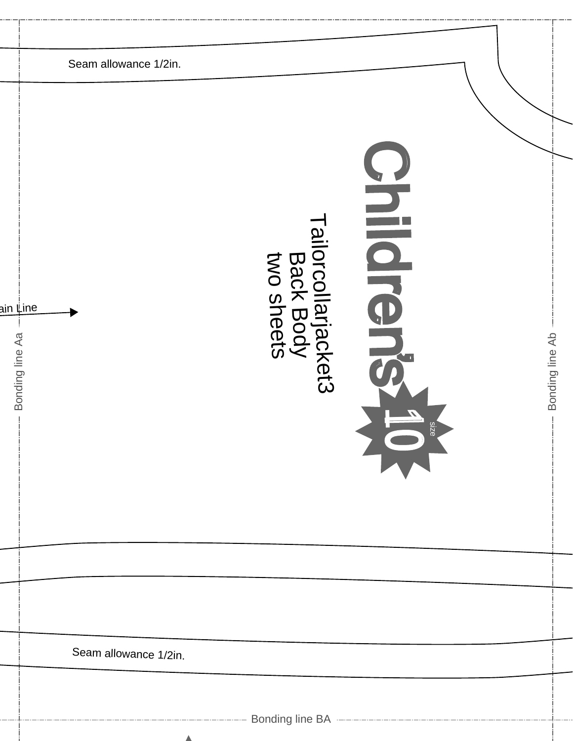|                                    | Seam allowance 1/2in. |                                                |                                                           |                 |
|------------------------------------|-----------------------|------------------------------------------------|-----------------------------------------------------------|-----------------|
| ain <u>‡ine</u><br>Bonding line Aa |                       | Tailorcollarjacket3<br>Back Body<br>two sheets | <b>PHICIPA</b><br><b>Size</b><br>$\overline{\phantom{a}}$ | Bonding line Ab |
|                                    |                       |                                                |                                                           |                 |
|                                    |                       |                                                |                                                           |                 |
|                                    | Seam allowance 1/2in. |                                                |                                                           |                 |
|                                    |                       |                                                |                                                           |                 |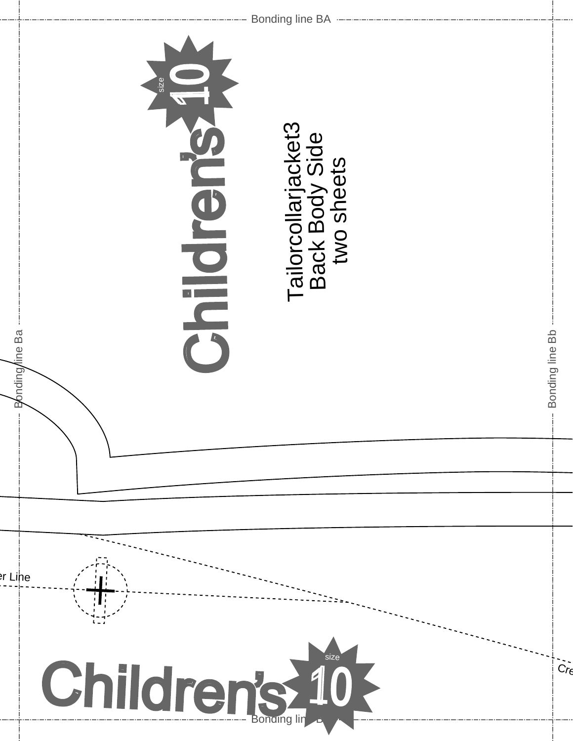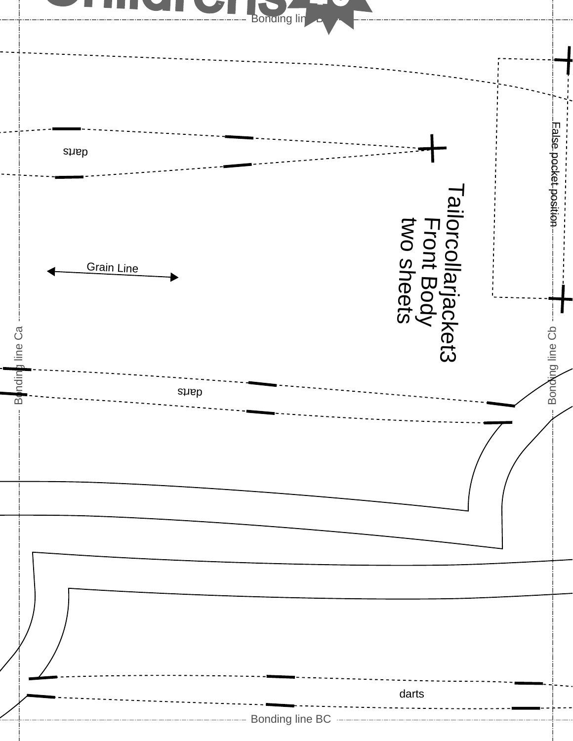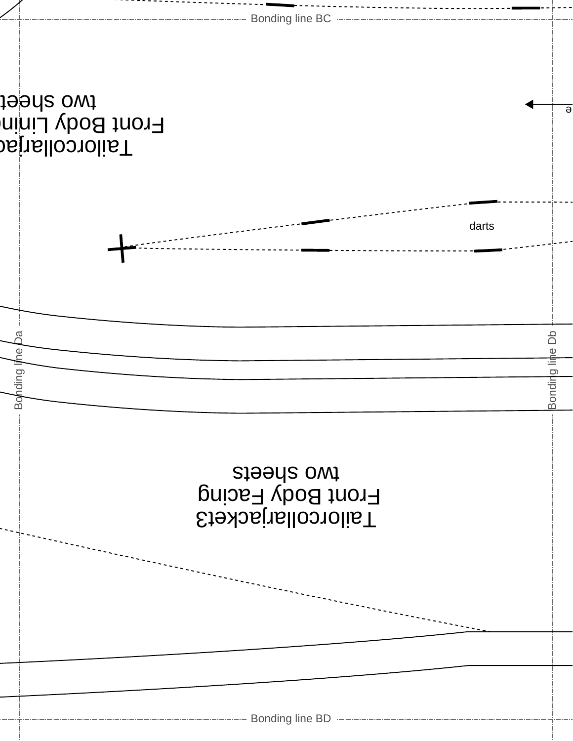| ------------------- Bonding line BC ------------------- |                                                                                                      |
|---------------------------------------------------------|------------------------------------------------------------------------------------------------------|
|                                                         |                                                                                                      |
|                                                         |                                                                                                      |
|                                                         |                                                                                                      |
|                                                         |                                                                                                      |
| darts                                                   |                                                                                                      |
|                                                         |                                                                                                      |
|                                                         |                                                                                                      |
|                                                         | å                                                                                                    |
|                                                         | Bonding line                                                                                         |
|                                                         |                                                                                                      |
|                                                         |                                                                                                      |
|                                                         |                                                                                                      |
|                                                         |                                                                                                      |
|                                                         |                                                                                                      |
|                                                         |                                                                                                      |
|                                                         |                                                                                                      |
|                                                         |                                                                                                      |
|                                                         |                                                                                                      |
|                                                         |                                                                                                      |
| <u>ଟ</u>                                                | to sheet<br>bstrellooroliaT<br>nini vbod trinin<br>Bonding line<br>steeds owt<br>Tailorcollarjacket3 |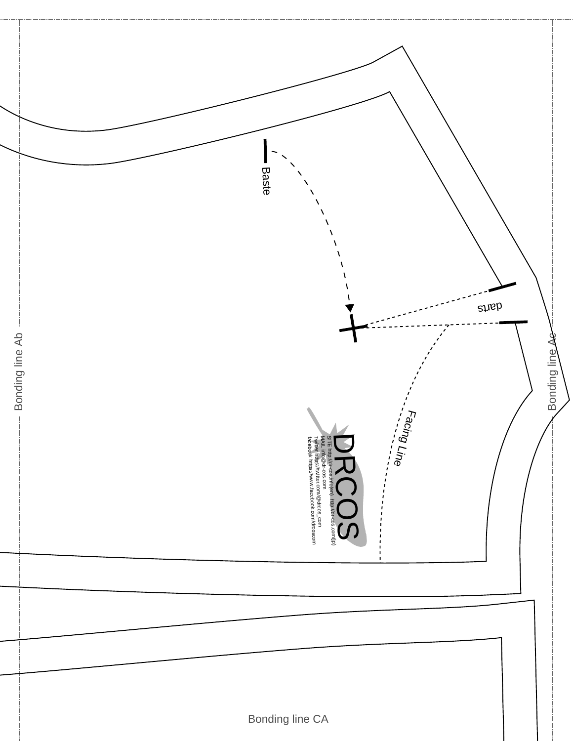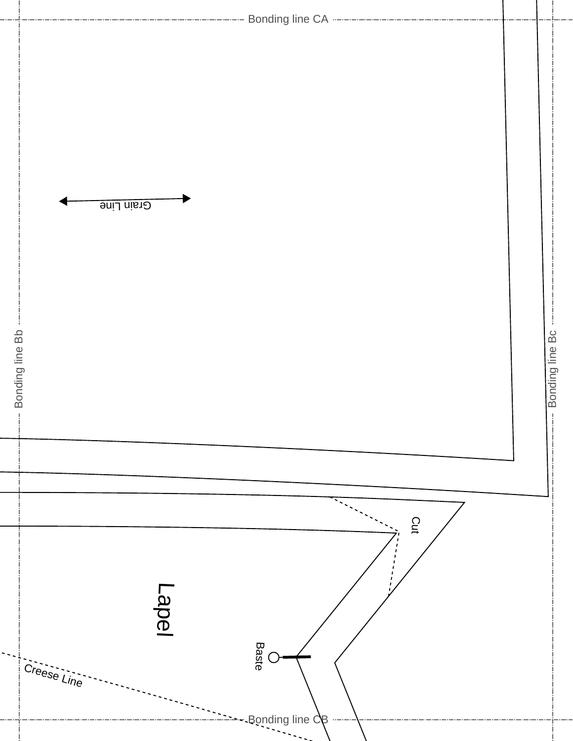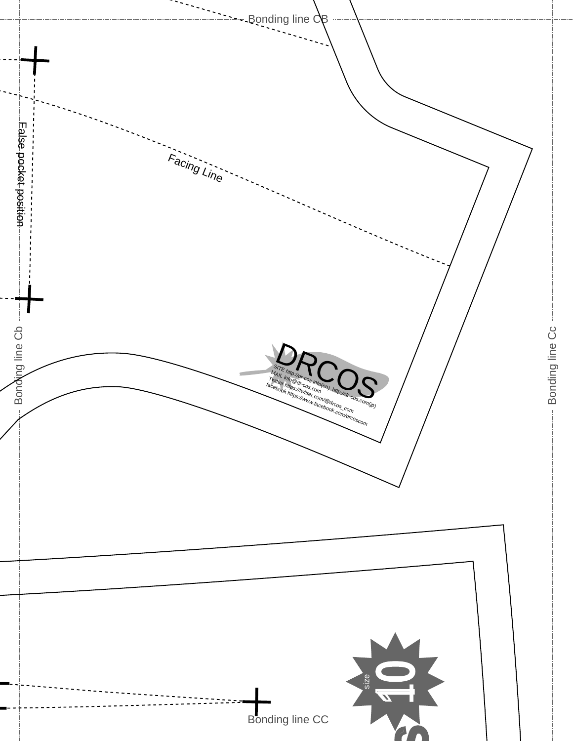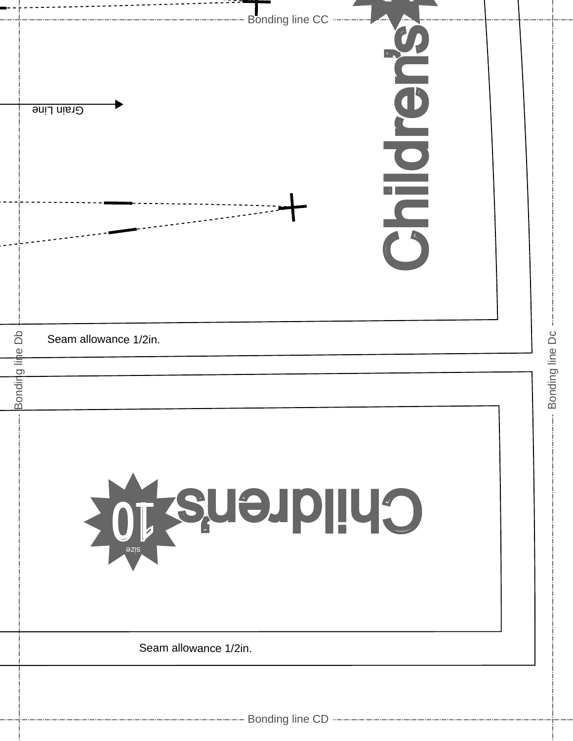|              | Bonding line CC<br>Grain Line<br>$\overline{\mathbf{C}}$ |                 |
|--------------|----------------------------------------------------------|-----------------|
| å            |                                                          |                 |
|              | Seam allowance 1/2in.                                    | Bonding line Dc |
| Bonding line |                                                          |                 |
|              |                                                          |                 |
|              | Children's 10<br><b>azis</b>                             |                 |
|              | Seam allowance 1/2in.                                    |                 |
|              |                                                          |                 |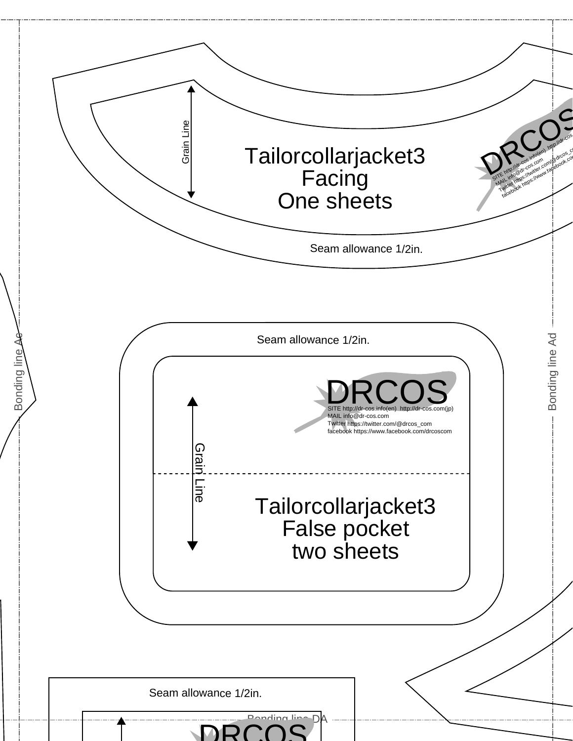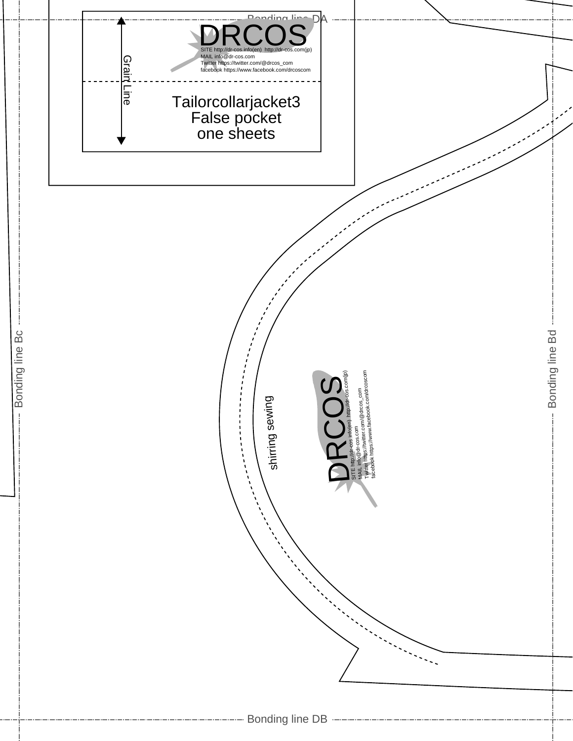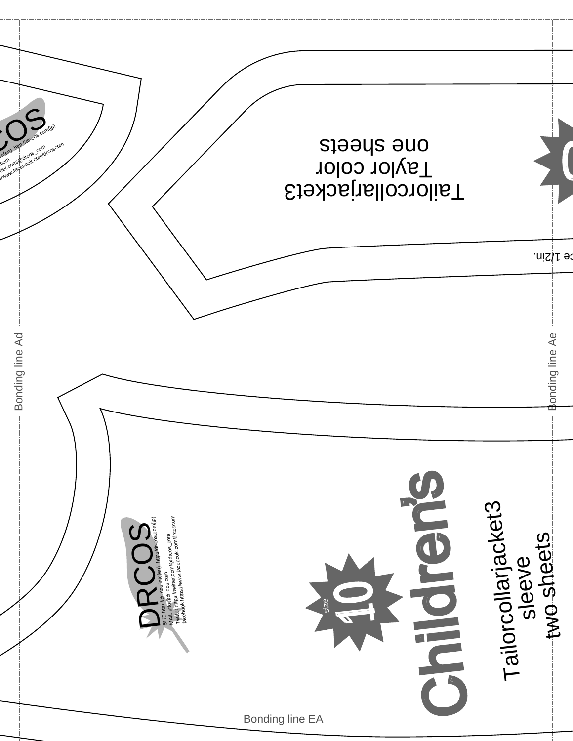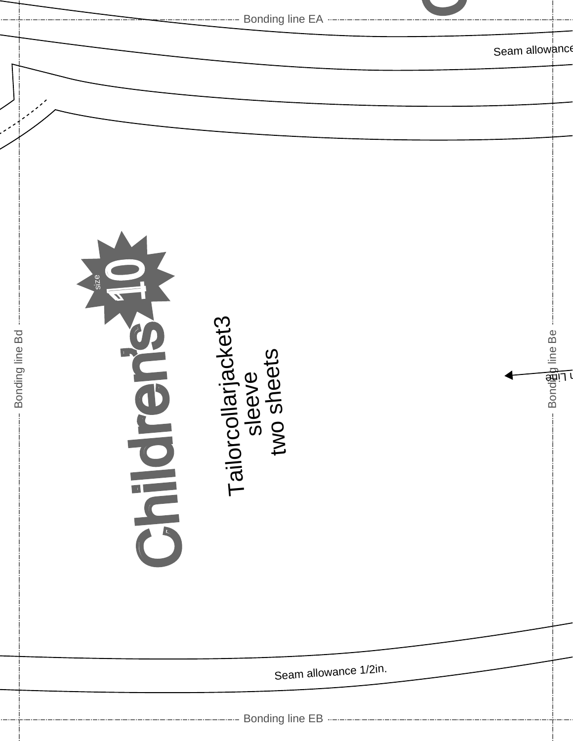|                 | <b>EXAMPLE 2014</b> Bonding line EA ------------------------                      |                |
|-----------------|-----------------------------------------------------------------------------------|----------------|
|                 |                                                                                   | Seam allowanc  |
|                 |                                                                                   |                |
|                 |                                                                                   |                |
| Bonding line Bd | size <sup>'</sup><br>Tailorcollarjacket3<br>sleeve<br>two sheets<br><b>DIRECT</b> | Bondeg line Be |
|                 | Seam allowance 1/2in.                                                             |                |
|                 |                                                                                   |                |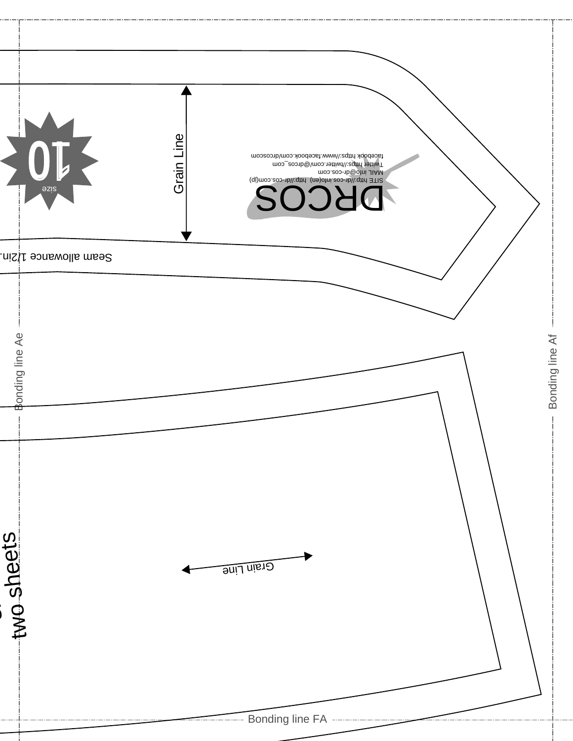